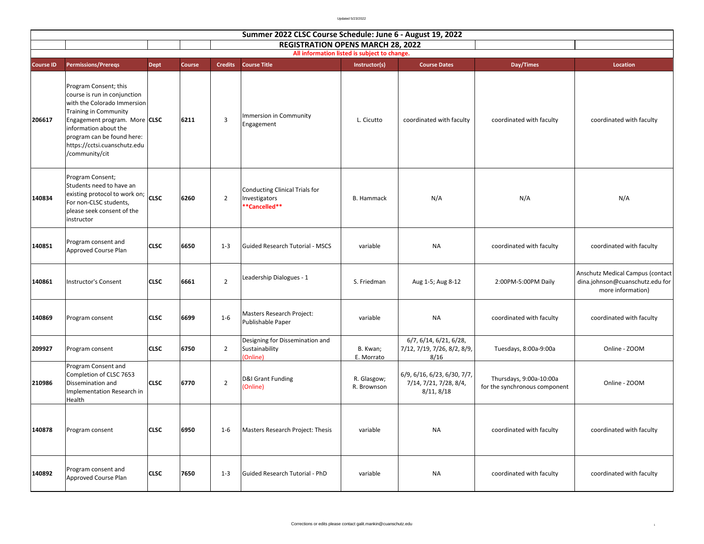Updated 5/23/2022

|                  | Summer 2022 CLSC Course Schedule: June 6 - August 19, 2022                                                                                                                                                                                              |             |        |                |                                                                  |                            |                                                                     |                                                          |                                                                                          |  |  |  |
|------------------|---------------------------------------------------------------------------------------------------------------------------------------------------------------------------------------------------------------------------------------------------------|-------------|--------|----------------|------------------------------------------------------------------|----------------------------|---------------------------------------------------------------------|----------------------------------------------------------|------------------------------------------------------------------------------------------|--|--|--|
|                  | <b>REGISTRATION OPENS MARCH 28, 2022</b><br>All information listed is subject to change.                                                                                                                                                                |             |        |                |                                                                  |                            |                                                                     |                                                          |                                                                                          |  |  |  |
| <b>Course ID</b> | <b>Permissions/Preregs</b>                                                                                                                                                                                                                              | <b>Dept</b> | Course | <b>Credits</b> | <b>Course Title</b>                                              | Instructor(s)              | <b>Course Dates</b>                                                 | Day/Times                                                | Location                                                                                 |  |  |  |
| 206617           | Program Consent; this<br>course is run in conjunction<br>with the Colorado Immersion<br>Training in Community<br>Engagement program. More CLSC<br>information about the<br>program can be found here:<br>https://cctsi.cuanschutz.edu<br>/community/cit |             | 6211   | $\mathbf{3}$   | Immersion in Community<br>Engagement                             | L. Cicutto                 | coordinated with faculty                                            | coordinated with faculty                                 | coordinated with faculty                                                                 |  |  |  |
| 140834           | Program Consent;<br>Students need to have an<br>existing protocol to work on;<br>For non-CLSC students,<br>please seek consent of the<br>instructor                                                                                                     | <b>CLSC</b> | 6260   | $\overline{2}$ | Conducting Clinical Trials for<br>Investigators<br>**Cancelled** | <b>B.</b> Hammack          | N/A                                                                 | N/A                                                      | N/A                                                                                      |  |  |  |
| 140851           | Program consent and<br>Approved Course Plan                                                                                                                                                                                                             | <b>CLSC</b> | 6650   | $1 - 3$        | Guided Research Tutorial - MSCS                                  | variable                   | <b>NA</b>                                                           | coordinated with faculty                                 | coordinated with faculty                                                                 |  |  |  |
| 140861           | <b>Instructor's Consent</b>                                                                                                                                                                                                                             | <b>CLSC</b> | 6661   | $\overline{2}$ | Leadership Dialogues - 1                                         | S. Friedman                | Aug 1-5; Aug 8-12                                                   | 2:00PM-5:00PM Daily                                      | Anschutz Medical Campus (contact<br>dina.johnson@cuanschutz.edu for<br>more information) |  |  |  |
| 140869           | Program consent                                                                                                                                                                                                                                         | <b>CLSC</b> | 6699   | $1 - 6$        | Masters Research Project:<br>Publishable Paper                   | variable                   | <b>NA</b>                                                           | coordinated with faculty                                 | coordinated with faculty                                                                 |  |  |  |
| 209927           | Program consent                                                                                                                                                                                                                                         | <b>CLSC</b> | 6750   | $\overline{2}$ | Designing for Dissemination and<br>Sustainability<br>(Online)    | B. Kwan;<br>E. Morrato     | 6/7, 6/14, 6/21, 6/28,<br>7/12, 7/19, 7/26, 8/2, 8/9,<br>8/16       | Tuesdays, 8:00a-9:00a                                    | Online - ZOOM                                                                            |  |  |  |
| 210986           | Program Consent and<br>Completion of CLSC 7653<br>Dissemination and<br>Implementation Research in<br>Health                                                                                                                                             | <b>CLSC</b> | 6770   | $\overline{2}$ | D&I Grant Funding<br>Online)                                     | R. Glasgow;<br>R. Brownson | 6/9, 6/16, 6/23, 6/30, 7/7,<br>7/14, 7/21, 7/28, 8/4,<br>8/11, 8/18 | Thursdays, 9:00a-10:00a<br>for the synchronous component | Online - ZOOM                                                                            |  |  |  |
| 140878           | Program consent                                                                                                                                                                                                                                         | <b>CLSC</b> | 6950   | $1 - 6$        | Masters Research Project: Thesis                                 | variable                   | <b>NA</b>                                                           | coordinated with faculty                                 | coordinated with faculty                                                                 |  |  |  |
| 140892           | Program consent and<br>Approved Course Plan                                                                                                                                                                                                             | <b>CLSC</b> | 7650   | $1 - 3$        | Guided Research Tutorial - PhD                                   | variable                   | NA                                                                  | coordinated with faculty                                 | coordinated with faculty                                                                 |  |  |  |